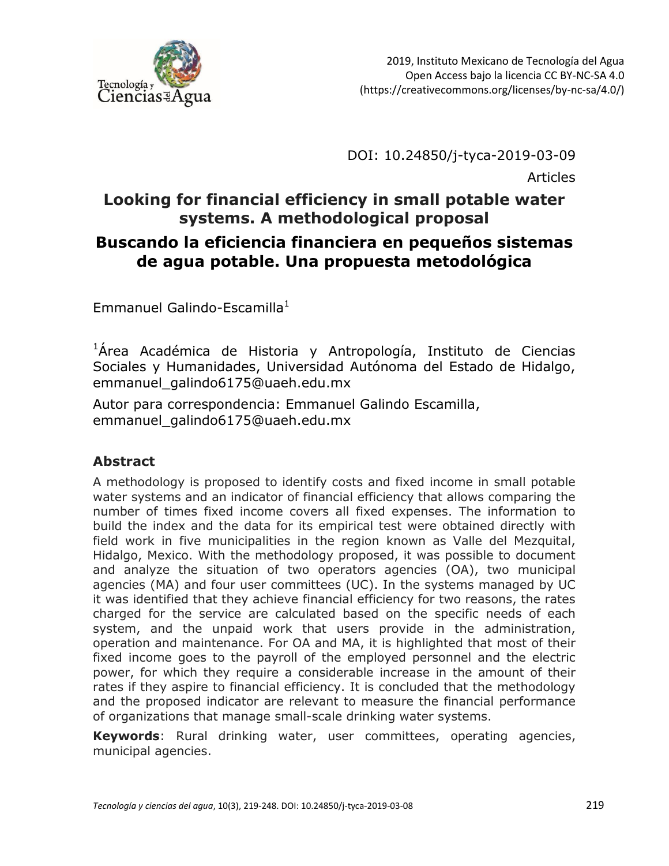

DOI: 10.24850/j-tyca-2019-03-09

Articles

### **Looking for financial efficiency in small potable water systems. A methodological proposal Buscando la eficiencia financiera en pequeños sistemas de agua potable. Una propuesta metodológica**

Emmanuel Galindo-Escamilla $^1$ 

 $1$ Área Académica de Historia y Antropología, Instituto de Ciencias Sociales y Humanidades, Universidad Autónoma del Estado de Hidalgo, emmanuel\_galindo6175@uaeh.edu.mx

Autor para correspondencia: Emmanuel Galindo Escamilla, emmanuel\_galindo6175@uaeh.edu.mx

#### **Abstract**

A methodology is proposed to identify costs and fixed income in small potable water systems and an indicator of financial efficiency that allows comparing the number of times fixed income covers all fixed expenses. The information to build the index and the data for its empirical test were obtained directly with field work in five municipalities in the region known as Valle del Mezquital, Hidalgo, Mexico. With the methodology proposed, it was possible to document and analyze the situation of two operators agencies (OA), two municipal agencies (MA) and four user committees (UC). In the systems managed by UC it was identified that they achieve financial efficiency for two reasons, the rates charged for the service are calculated based on the specific needs of each system, and the unpaid work that users provide in the administration, operation and maintenance. For OA and MA, it is highlighted that most of their fixed income goes to the payroll of the employed personnel and the electric power, for which they require a considerable increase in the amount of their rates if they aspire to financial efficiency. It is concluded that the methodology and the proposed indicator are relevant to measure the financial performance of organizations that manage small-scale drinking water systems.

**Keywords**: Rural drinking water, user committees, operating agencies, municipal agencies.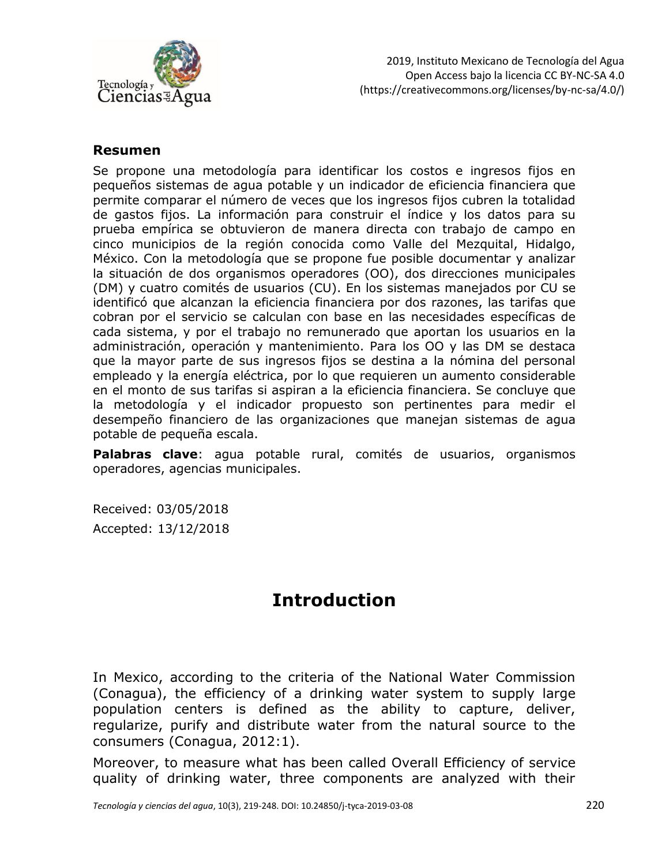

#### **Resumen**

Se propone una metodología para identificar los costos e ingresos fijos en pequeños sistemas de agua potable y un indicador de eficiencia financiera que permite comparar el número de veces que los ingresos fijos cubren la totalidad de gastos fijos. La información para construir el índice y los datos para su prueba empírica se obtuvieron de manera directa con trabajo de campo en cinco municipios de la región conocida como Valle del Mezquital, Hidalgo, México. Con la metodología que se propone fue posible documentar y analizar la situación de dos organismos operadores (OO), dos direcciones municipales (DM) y cuatro comités de usuarios (CU). En los sistemas manejados por CU se identificó que alcanzan la eficiencia financiera por dos razones, las tarifas que cobran por el servicio se calculan con base en las necesidades específicas de cada sistema, y por el trabajo no remunerado que aportan los usuarios en la administración, operación y mantenimiento. Para los OO y las DM se destaca que la mayor parte de sus ingresos fijos se destina a la nómina del personal empleado y la energía eléctrica, por lo que requieren un aumento considerable en el monto de sus tarifas si aspiran a la eficiencia financiera. Se concluye que la metodología y el indicador propuesto son pertinentes para medir el desempeño financiero de las organizaciones que manejan sistemas de agua potable de pequeña escala.

**Palabras clave**: agua potable rural, comités de usuarios, organismos operadores, agencias municipales.

Received: 03/05/2018 Accepted: 13/12/2018

## **Introduction**

In Mexico, according to the criteria of the National Water Commission (Conagua), the efficiency of a drinking water system to supply large population centers is defined as the ability to capture, deliver, regularize, purify and distribute water from the natural source to the consumers (Conagua, 2012:1).

Moreover, to measure what has been called Overall Efficiency of service quality of drinking water, three components are analyzed with their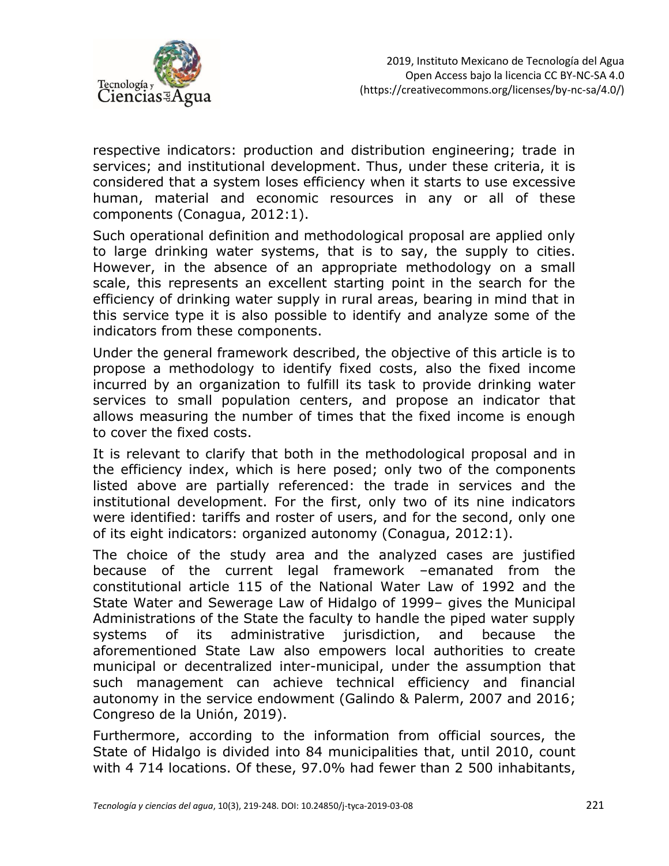

respective indicators: production and distribution engineering; trade in services; and institutional development. Thus, under these criteria, it is considered that a system loses efficiency when it starts to use excessive human, material and economic resources in any or all of these components (Conagua, 2012:1).

Such operational definition and methodological proposal are applied only to large drinking water systems, that is to say, the supply to cities. However, in the absence of an appropriate methodology on a small scale, this represents an excellent starting point in the search for the efficiency of drinking water supply in rural areas, bearing in mind that in this service type it is also possible to identify and analyze some of the indicators from these components.

Under the general framework described, the objective of this article is to propose a methodology to identify fixed costs, also the fixed income incurred by an organization to fulfill its task to provide drinking water services to small population centers, and propose an indicator that allows measuring the number of times that the fixed income is enough to cover the fixed costs.

It is relevant to clarify that both in the methodological proposal and in the efficiency index, which is here posed; only two of the components listed above are partially referenced: the trade in services and the institutional development. For the first, only two of its nine indicators were identified: tariffs and roster of users, and for the second, only one of its eight indicators: organized autonomy (Conagua, 2012:1).

The choice of the study area and the analyzed cases are justified because of the current legal framework –emanated from the constitutional article 115 of the National Water Law of 1992 and the State Water and Sewerage Law of Hidalgo of 1999– gives the Municipal Administrations of the State the faculty to handle the piped water supply systems of its administrative jurisdiction, and because the aforementioned State Law also empowers local authorities to create municipal or decentralized inter-municipal, under the assumption that such management can achieve technical efficiency and financial autonomy in the service endowment (Galindo & Palerm, 2007 and 2016; Congreso de la Unión, 2019).

Furthermore, according to the information from official sources, the State of Hidalgo is divided into 84 municipalities that, until 2010, count with 4 714 locations. Of these, 97.0% had fewer than 2 500 inhabitants,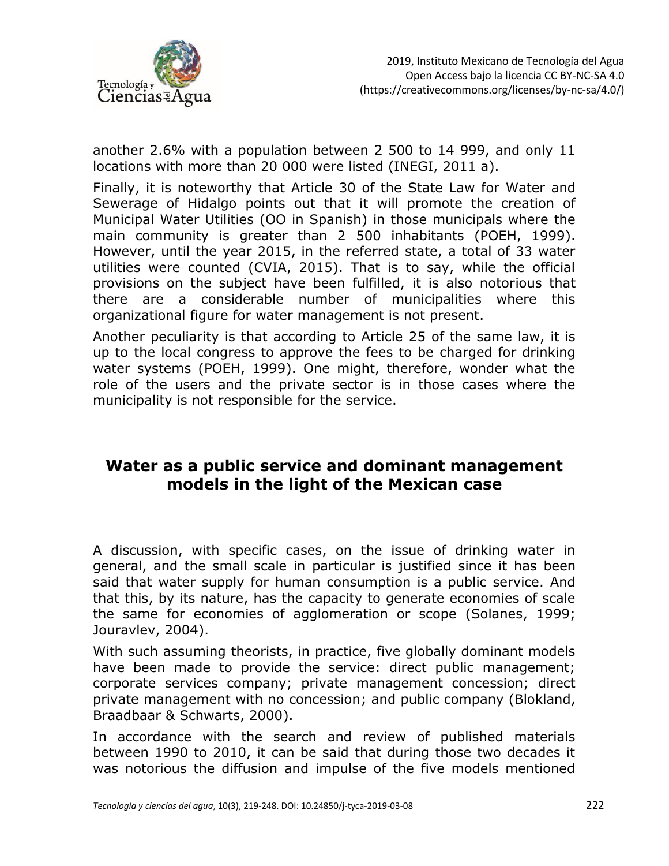

another 2.6% with a population between 2 500 to 14 999, and only 11 locations with more than 20 000 were listed (INEGI, 2011 a).

Finally, it is noteworthy that Article 30 of the State Law for Water and Sewerage of Hidalgo points out that it will promote the creation of Municipal Water Utilities (OO in Spanish) in those municipals where the main community is greater than 2 500 inhabitants (POEH, 1999). However, until the year 2015, in the referred state, a total of 33 water utilities were counted (CVIA, 2015). That is to say, while the official provisions on the subject have been fulfilled, it is also notorious that there are a considerable number of municipalities where this organizational figure for water management is not present.

Another peculiarity is that according to Article 25 of the same law, it is up to the local congress to approve the fees to be charged for drinking water systems (POEH, 1999). One might, therefore, wonder what the role of the users and the private sector is in those cases where the municipality is not responsible for the service.

### **Water as a public service and dominant management models in the light of the Mexican case**

A discussion, with specific cases, on the issue of drinking water in general, and the small scale in particular is justified since it has been said that water supply for human consumption is a public service. And that this, by its nature, has the capacity to generate economies of scale the same for economies of agglomeration or scope (Solanes, 1999; Jouravlev, 2004).

With such assuming theorists, in practice, five globally dominant models have been made to provide the service: direct public management; corporate services company; private management concession; direct private management with no concession; and public company (Blokland, Braadbaar & Schwarts, 2000).

In accordance with the search and review of published materials between 1990 to 2010, it can be said that during those two decades it was notorious the diffusion and impulse of the five models mentioned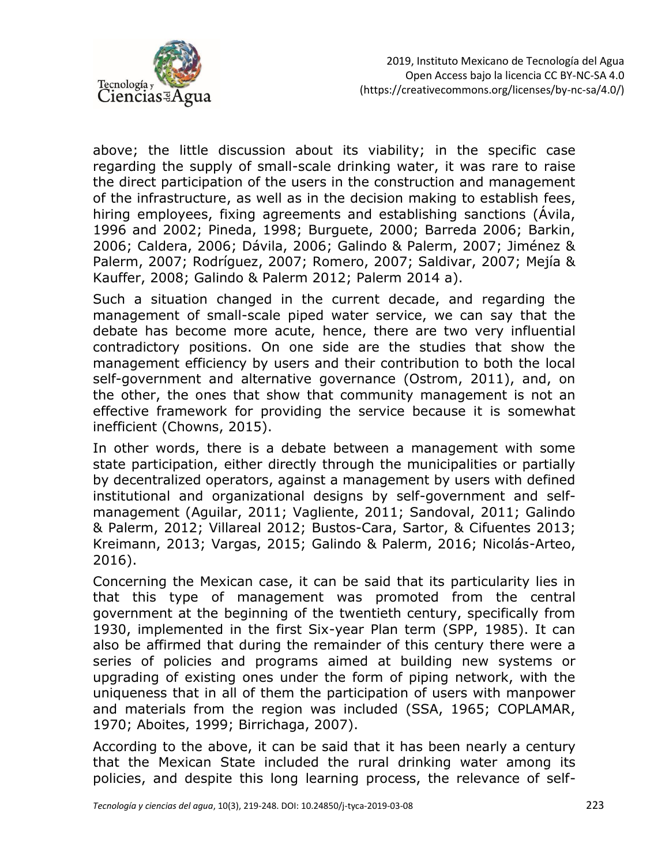

above; the little discussion about its viability; in the specific case regarding the supply of small-scale drinking water, it was rare to raise the direct participation of the users in the construction and management of the infrastructure, as well as in the decision making to establish fees, hiring employees, fixing agreements and establishing sanctions (Ávila, 1996 and 2002; Pineda, 1998; Burguete, 2000; Barreda 2006; Barkin, 2006; Caldera, 2006; Dávila, 2006; Galindo & Palerm, 2007; Jiménez & Palerm, 2007; Rodríguez, 2007; Romero, 2007; Saldivar, 2007; Mejía & Kauffer, 2008; Galindo & Palerm 2012; Palerm 2014 a).

Such a situation changed in the current decade, and regarding the management of small-scale piped water service, we can say that the debate has become more acute, hence, there are two very influential contradictory positions. On one side are the studies that show the management efficiency by users and their contribution to both the local self-government and alternative governance (Ostrom, 2011), and, on the other, the ones that show that community management is not an effective framework for providing the service because it is somewhat inefficient (Chowns, 2015).

In other words, there is a debate between a management with some state participation, either directly through the municipalities or partially by decentralized operators, against a management by users with defined institutional and organizational designs by self-government and selfmanagement (Aguilar, 2011; Vagliente, 2011; Sandoval, 2011; Galindo & Palerm, 2012; Villareal 2012; Bustos-Cara, Sartor, & Cifuentes 2013; Kreimann, 2013; Vargas, 2015; Galindo & Palerm, 2016; Nicolás-Arteo, 2016).

Concerning the Mexican case, it can be said that its particularity lies in that this type of management was promoted from the central government at the beginning of the twentieth century, specifically from 1930, implemented in the first Six-year Plan term (SPP, 1985). It can also be affirmed that during the remainder of this century there were a series of policies and programs aimed at building new systems or upgrading of existing ones under the form of piping network, with the uniqueness that in all of them the participation of users with manpower and materials from the region was included (SSA, 1965; COPLAMAR, 1970; Aboites, 1999; Birrichaga, 2007).

According to the above, it can be said that it has been nearly a century that the Mexican State included the rural drinking water among its policies, and despite this long learning process, the relevance of self-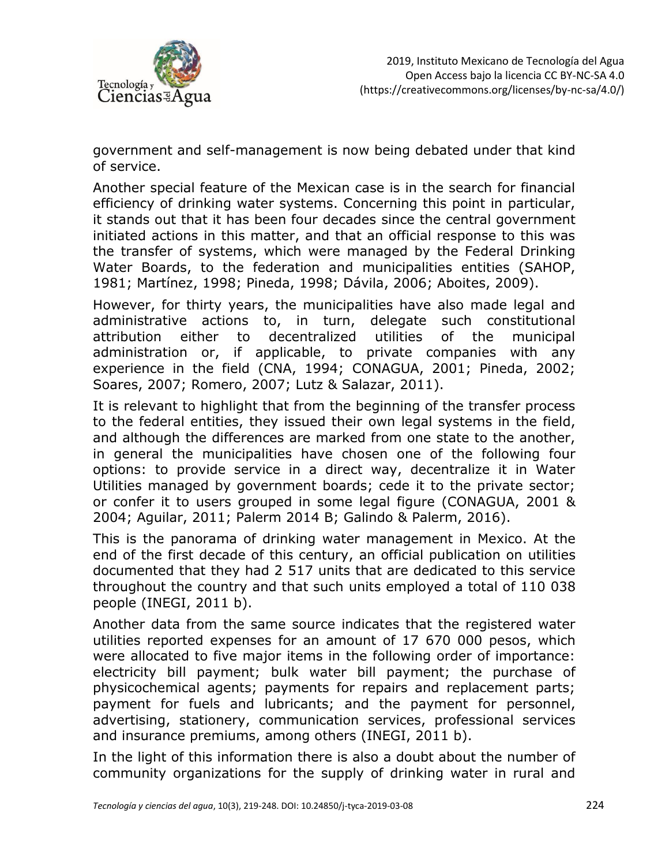

government and self-management is now being debated under that kind of service.

Another special feature of the Mexican case is in the search for financial efficiency of drinking water systems. Concerning this point in particular, it stands out that it has been four decades since the central government initiated actions in this matter, and that an official response to this was the transfer of systems, which were managed by the Federal Drinking Water Boards, to the federation and municipalities entities (SAHOP, 1981; Martínez, 1998; Pineda, 1998; Dávila, 2006; Aboites, 2009).

However, for thirty years, the municipalities have also made legal and administrative actions to, in turn, delegate such constitutional attribution either to decentralized utilities of the municipal administration or, if applicable, to private companies with any experience in the field (CNA, 1994; CONAGUA, 2001; Pineda, 2002; Soares, 2007; Romero, 2007; Lutz & Salazar, 2011).

It is relevant to highlight that from the beginning of the transfer process to the federal entities, they issued their own legal systems in the field, and although the differences are marked from one state to the another, in general the municipalities have chosen one of the following four options: to provide service in a direct way, decentralize it in Water Utilities managed by government boards; cede it to the private sector; or confer it to users grouped in some legal figure (CONAGUA, 2001 & 2004; Aguilar, 2011; Palerm 2014 B; Galindo & Palerm, 2016).

This is the panorama of drinking water management in Mexico. At the end of the first decade of this century, an official publication on utilities documented that they had 2 517 units that are dedicated to this service throughout the country and that such units employed a total of 110 038 people (INEGI, 2011 b).

Another data from the same source indicates that the registered water utilities reported expenses for an amount of 17 670 000 pesos, which were allocated to five major items in the following order of importance: electricity bill payment; bulk water bill payment; the purchase of physicochemical agents; payments for repairs and replacement parts; payment for fuels and lubricants; and the payment for personnel, advertising, stationery, communication services, professional services and insurance premiums, among others (INEGI, 2011 b).

In the light of this information there is also a doubt about the number of community organizations for the supply of drinking water in rural and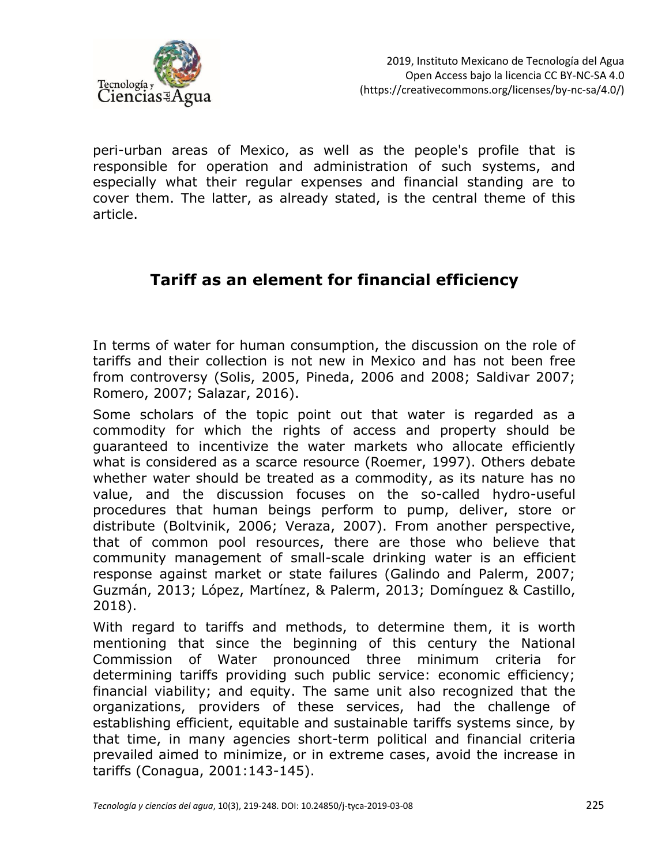

peri-urban areas of Mexico, as well as the people's profile that is responsible for operation and administration of such systems, and especially what their regular expenses and financial standing are to cover them. The latter, as already stated, is the central theme of this article.

#### **Tariff as an element for financial efficiency**

In terms of water for human consumption, the discussion on the role of tariffs and their collection is not new in Mexico and has not been free from controversy (Solis, 2005, Pineda, 2006 and 2008; Saldivar 2007; Romero, 2007; Salazar, 2016).

Some scholars of the topic point out that water is regarded as a commodity for which the rights of access and property should be guaranteed to incentivize the water markets who allocate efficiently what is considered as a scarce resource (Roemer, 1997). Others debate whether water should be treated as a commodity, as its nature has no value, and the discussion focuses on the so-called hydro-useful procedures that human beings perform to pump, deliver, store or distribute (Boltvinik, 2006; Veraza, 2007). From another perspective, that of common pool resources, there are those who believe that community management of small-scale drinking water is an efficient response against market or state failures (Galindo and Palerm, 2007; Guzmán, 2013; López, Martínez, & Palerm, 2013; Domínguez & Castillo, 2018).

With regard to tariffs and methods, to determine them, it is worth mentioning that since the beginning of this century the National Commission of Water pronounced three minimum criteria for determining tariffs providing such public service: economic efficiency; financial viability; and equity. The same unit also recognized that the organizations, providers of these services, had the challenge of establishing efficient, equitable and sustainable tariffs systems since, by that time, in many agencies short-term political and financial criteria prevailed aimed to minimize, or in extreme cases, avoid the increase in tariffs (Conagua, 2001:143-145).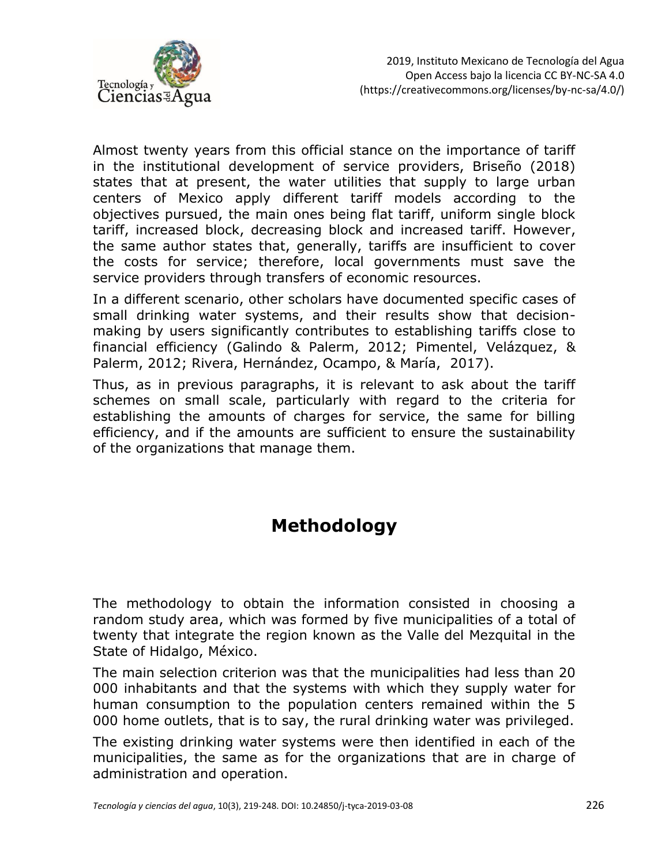

Almost twenty years from this official stance on the importance of tariff in the institutional development of service providers, Briseño (2018) states that at present, the water utilities that supply to large urban centers of Mexico apply different tariff models according to the objectives pursued, the main ones being flat tariff, uniform single block tariff, increased block, decreasing block and increased tariff. However, the same author states that, generally, tariffs are insufficient to cover the costs for service; therefore, local governments must save the service providers through transfers of economic resources.

In a different scenario, other scholars have documented specific cases of small drinking water systems, and their results show that decisionmaking by users significantly contributes to establishing tariffs close to financial efficiency (Galindo & Palerm, 2012; Pimentel, Velázquez, & Palerm, 2012; Rivera, Hernández, Ocampo, & María, 2017).

Thus, as in previous paragraphs, it is relevant to ask about the tariff schemes on small scale, particularly with regard to the criteria for establishing the amounts of charges for service, the same for billing efficiency, and if the amounts are sufficient to ensure the sustainability of the organizations that manage them.

## **Methodology**

The methodology to obtain the information consisted in choosing a random study area, which was formed by five municipalities of a total of twenty that integrate the region known as the Valle del Mezquital in the State of Hidalgo, México.

The main selection criterion was that the municipalities had less than 20 000 inhabitants and that the systems with which they supply water for human consumption to the population centers remained within the 5 000 home outlets, that is to say, the rural drinking water was privileged.

The existing drinking water systems were then identified in each of the municipalities, the same as for the organizations that are in charge of administration and operation.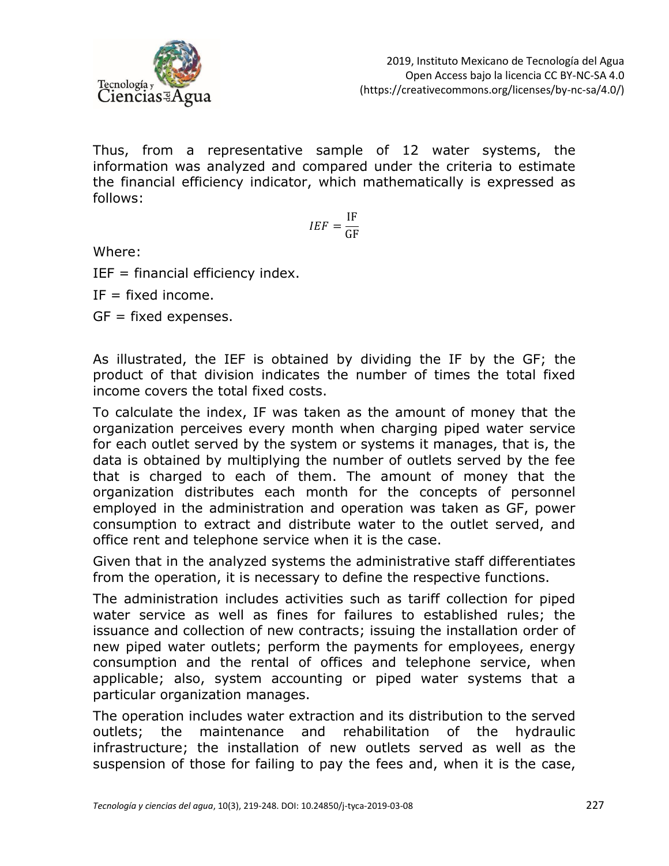

Thus, from a representative sample of 12 water systems, the information was analyzed and compared under the criteria to estimate the financial efficiency indicator, which mathematically is expressed as follows:

$$
IEF = \frac{IF}{GF}
$$

Where:

 $IEF = financial efficiency index.$ 

 $IF = fixed income$ .

 $GF = fixed$  expenses.

As illustrated, the IEF is obtained by dividing the IF by the GF; the product of that division indicates the number of times the total fixed income covers the total fixed costs.

To calculate the index, IF was taken as the amount of money that the organization perceives every month when charging piped water service for each outlet served by the system or systems it manages, that is, the data is obtained by multiplying the number of outlets served by the fee that is charged to each of them. The amount of money that the organization distributes each month for the concepts of personnel employed in the administration and operation was taken as GF, power consumption to extract and distribute water to the outlet served, and office rent and telephone service when it is the case.

Given that in the analyzed systems the administrative staff differentiates from the operation, it is necessary to define the respective functions.

The administration includes activities such as tariff collection for piped water service as well as fines for failures to established rules; the issuance and collection of new contracts; issuing the installation order of new piped water outlets; perform the payments for employees, energy consumption and the rental of offices and telephone service, when applicable; also, system accounting or piped water systems that a particular organization manages.

The operation includes water extraction and its distribution to the served outlets; the maintenance and rehabilitation of the hydraulic infrastructure; the installation of new outlets served as well as the suspension of those for failing to pay the fees and, when it is the case,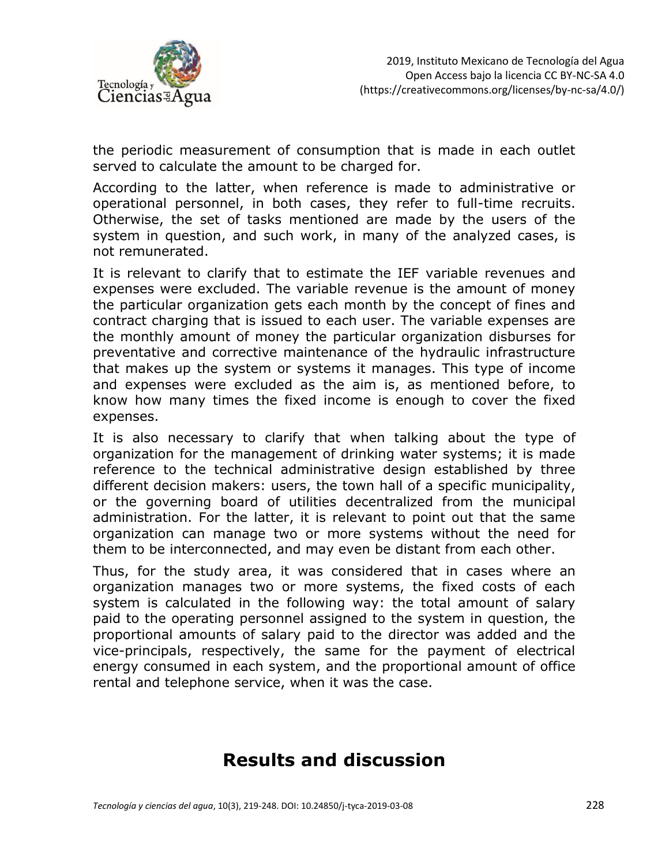

the periodic measurement of consumption that is made in each outlet served to calculate the amount to be charged for.

According to the latter, when reference is made to administrative or operational personnel, in both cases, they refer to full-time recruits. Otherwise, the set of tasks mentioned are made by the users of the system in question, and such work, in many of the analyzed cases, is not remunerated.

It is relevant to clarify that to estimate the IEF variable revenues and expenses were excluded. The variable revenue is the amount of money the particular organization gets each month by the concept of fines and contract charging that is issued to each user. The variable expenses are the monthly amount of money the particular organization disburses for preventative and corrective maintenance of the hydraulic infrastructure that makes up the system or systems it manages. This type of income and expenses were excluded as the aim is, as mentioned before, to know how many times the fixed income is enough to cover the fixed expenses.

It is also necessary to clarify that when talking about the type of organization for the management of drinking water systems; it is made reference to the technical administrative design established by three different decision makers: users, the town hall of a specific municipality, or the governing board of utilities decentralized from the municipal administration. For the latter, it is relevant to point out that the same organization can manage two or more systems without the need for them to be interconnected, and may even be distant from each other.

Thus, for the study area, it was considered that in cases where an organization manages two or more systems, the fixed costs of each system is calculated in the following way: the total amount of salary paid to the operating personnel assigned to the system in question, the proportional amounts of salary paid to the director was added and the vice-principals, respectively, the same for the payment of electrical energy consumed in each system, and the proportional amount of office rental and telephone service, when it was the case.

### **Results and discussion**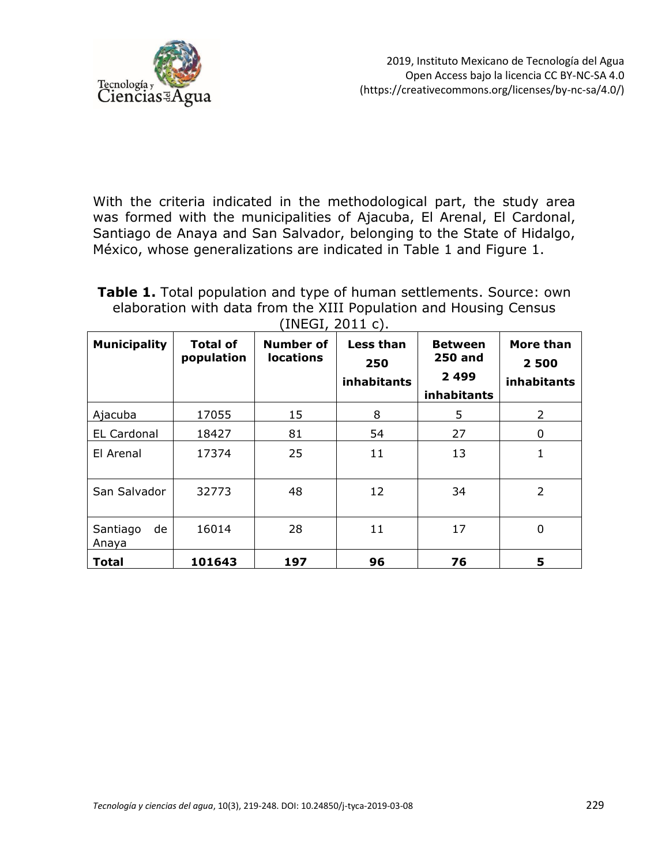

With the criteria indicated in the methodological part, the study area was formed with the municipalities of Ajacuba, El Arenal, El Cardonal, Santiago de Anaya and San Salvador, belonging to the State of Hidalgo, México, whose generalizations are indicated in Table 1 and Figure 1.

**Table 1.** Total population and type of human settlements. Source: own elaboration with data from the XIII Population and Housing Census  $(INFGI, 2011 c)$ .

| <b>Municipality</b>     | <b>Total of</b><br>population | <b>Number of</b><br><b>locations</b> | Less than<br>250<br>inhabitants | <b>Between</b><br><b>250 and</b><br>2 4 9 9<br>inhabitants | <b>More than</b><br>2 500<br>inhabitants |
|-------------------------|-------------------------------|--------------------------------------|---------------------------------|------------------------------------------------------------|------------------------------------------|
| Ajacuba                 | 17055                         | 15                                   | 8                               | 5                                                          | 2                                        |
| <b>EL Cardonal</b>      | 18427                         | 81                                   | 54                              | 27                                                         | 0                                        |
| El Arenal               | 17374                         | 25                                   | 11                              | 13                                                         | 1                                        |
| San Salvador            | 32773                         | 48                                   | 12                              | 34                                                         | $\overline{2}$                           |
| de<br>Santiago<br>Anaya | 16014                         | 28                                   | 11                              | 17                                                         | 0                                        |
| <b>Total</b>            | 101643                        | 197                                  | 96                              | 76                                                         | 5                                        |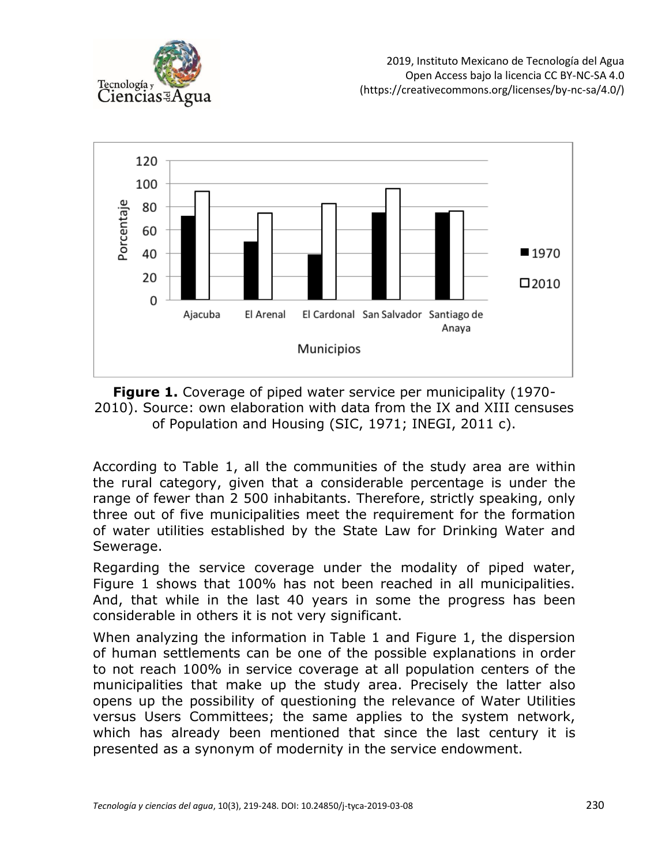



**Figure 1.** Coverage of piped water service per municipality (1970- 2010). Source: own elaboration with data from the IX and XIII censuses of Population and Housing (SIC, 1971; INEGI, 2011 c).

According to Table 1, all the communities of the study area are within the rural category, given that a considerable percentage is under the range of fewer than 2 500 inhabitants. Therefore, strictly speaking, only three out of five municipalities meet the requirement for the formation of water utilities established by the State Law for Drinking Water and Sewerage.

Regarding the service coverage under the modality of piped water, Figure 1 shows that 100% has not been reached in all municipalities. And, that while in the last 40 years in some the progress has been considerable in others it is not very significant.

When analyzing the information in Table 1 and Figure 1, the dispersion of human settlements can be one of the possible explanations in order to not reach 100% in service coverage at all population centers of the municipalities that make up the study area. Precisely the latter also opens up the possibility of questioning the relevance of Water Utilities versus Users Committees; the same applies to the system network, which has already been mentioned that since the last century it is presented as a synonym of modernity in the service endowment.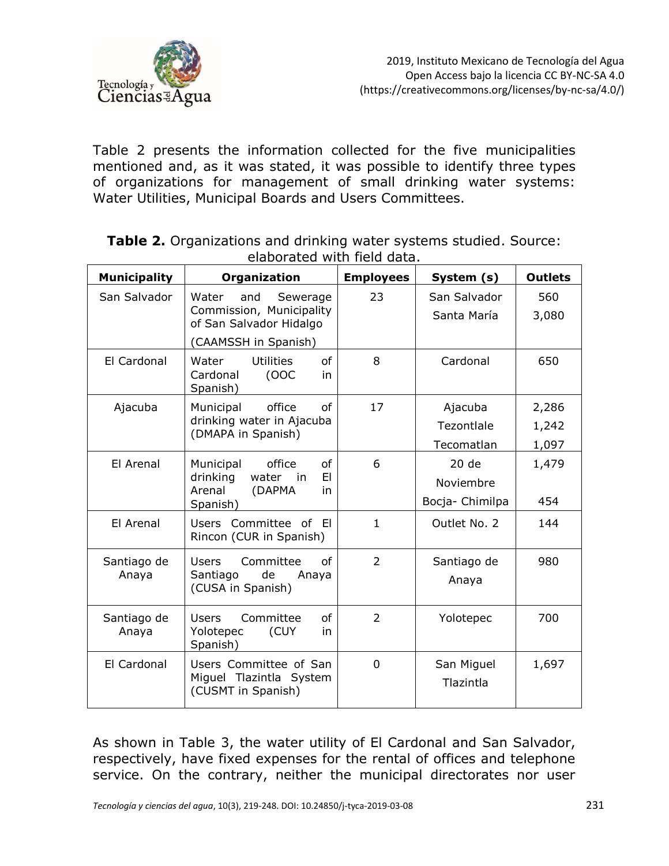

Table 2 presents the information collected for the five municipalities mentioned and, as it was stated, it was possible to identify three types of organizations for management of small drinking water systems: Water Utilities, Municipal Boards and Users Committees.

| <b>Municipality</b>  | Organization                                                                    | <b>Employees</b> | System (s)                  | <b>Outlets</b> |
|----------------------|---------------------------------------------------------------------------------|------------------|-----------------------------|----------------|
| San Salvador         | Water<br>and<br>Sewerage<br>Commission, Municipality<br>of San Salvador Hidalgo | 23               | San Salvador<br>Santa María | 560<br>3,080   |
|                      | (CAAMSSH in Spanish)                                                            |                  |                             |                |
| El Cardonal          | <b>Utilities</b><br>of<br>Water<br>Cardonal<br>(0OC)<br>in<br>Spanish)          | 8                | Cardonal                    | 650            |
| Ajacuba              | office<br>of<br>Municipal                                                       | 17               | Ajacuba                     | 2,286          |
|                      | drinking water in Ajacuba<br>(DMAPA in Spanish)                                 |                  | Tezontlale                  | 1,242          |
|                      |                                                                                 |                  | Tecomatlan                  | 1,097          |
| El Arenal            | of<br>office<br>Municipal                                                       | 6                | 20 de                       | 1,479          |
|                      | drinking<br>EI<br>water<br>in<br>Arenal<br>(DAPMA<br>in                         |                  | Noviembre                   |                |
|                      | Spanish)                                                                        |                  | Bocja- Chimilpa             | 454            |
| El Arenal            | Users Committee of El<br>Rincon (CUR in Spanish)                                | $\mathbf{1}$     | Outlet No. 2                | 144            |
| Santiago de<br>Anaya | Committee<br><b>Users</b><br>of<br>Santiago<br>de<br>Anaya<br>(CUSA in Spanish) | $\overline{2}$   | Santiago de<br>Anaya        | 980            |
| Santiago de<br>Anaya | Committee<br>of<br><b>Users</b><br>Yolotepec<br>(CUY<br>in<br>Spanish)          | $\overline{2}$   | Yolotepec                   | 700            |
| El Cardonal          | Users Committee of San<br>Miguel Tlazintla System<br>(CUSMT in Spanish)         | $\Omega$         | San Miguel<br>Tlazintla     | 1,697          |

**Table 2.** Organizations and drinking water systems studied. Source: elaborated with field data.

As shown in Table 3, the water utility of El Cardonal and San Salvador, respectively, have fixed expenses for the rental of offices and telephone service. On the contrary, neither the municipal directorates nor user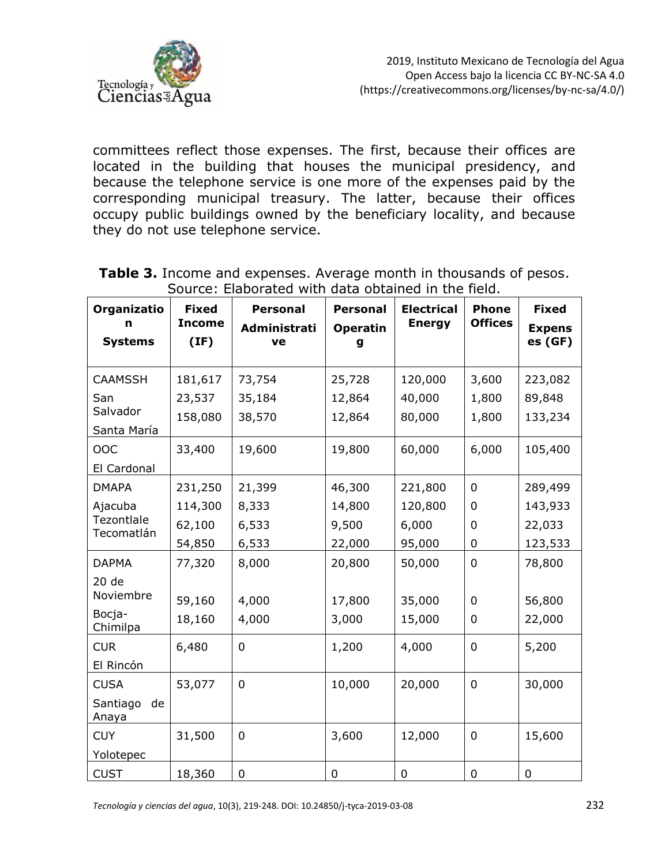

committees reflect those expenses. The first, because their offices are located in the building that houses the municipal presidency, and because the telephone service is one more of the expenses paid by the corresponding municipal treasury. The latter, because their offices occupy public buildings owned by the beneficiary locality, and because they do not use telephone service.

| Organizatio<br>n<br><b>Systems</b> | <b>Fixed</b><br><b>Income</b><br>(IF) | <b>Personal</b><br>Administrati<br>ve | <b>Personal</b><br><b>Operatin</b><br>g | <b>Electrical</b><br><b>Energy</b> | <b>Phone</b><br><b>Offices</b> | <b>Fixed</b><br><b>Expens</b><br>es (GF) |
|------------------------------------|---------------------------------------|---------------------------------------|-----------------------------------------|------------------------------------|--------------------------------|------------------------------------------|
| <b>CAAMSSH</b>                     | 181,617                               | 73,754                                | 25,728                                  | 120,000                            | 3,600                          | 223,082                                  |
| San                                | 23,537                                | 35,184                                | 12,864                                  | 40,000                             | 1,800                          | 89,848                                   |
| Salvador<br>Santa María            | 158,080                               | 38,570                                | 12,864                                  | 80,000                             | 1,800                          | 133,234                                  |
| OOC                                | 33,400                                | 19,600                                | 19,800                                  | 60,000                             | 6,000                          | 105,400                                  |
| El Cardonal                        |                                       |                                       |                                         |                                    |                                |                                          |
| <b>DMAPA</b>                       | 231,250                               | 21,399                                | 46,300                                  | 221,800                            | $\overline{0}$                 | 289,499                                  |
| Ajacuba                            | 114,300                               | 8,333                                 | 14,800                                  | 120,800                            | 0                              | 143,933                                  |
| Tezontlale<br>Tecomatlán           | 62,100                                | 6,533                                 | 9,500                                   | 6,000                              | 0                              | 22,033                                   |
|                                    | 54,850                                | 6,533                                 | 22,000                                  | 95,000                             | 0                              | 123,533                                  |
| <b>DAPMA</b>                       | 77,320                                | 8,000                                 | 20,800                                  | 50,000                             | $\mathbf 0$                    | 78,800                                   |
| 20 de                              |                                       |                                       |                                         |                                    |                                |                                          |
| Noviembre                          | 59,160                                | 4,000                                 | 17,800                                  | 35,000                             | 0                              | 56,800                                   |
| Bocja-<br>Chimilpa                 | 18,160                                | 4,000                                 | 3,000                                   | 15,000                             | 0                              | 22,000                                   |
| <b>CUR</b>                         | 6,480                                 | $\mathbf 0$                           | 1,200                                   | 4,000                              | $\mathbf 0$                    | 5,200                                    |
| El Rincón                          |                                       |                                       |                                         |                                    |                                |                                          |
| <b>CUSA</b>                        | 53,077                                | $\mathbf 0$                           | 10,000                                  | 20,000                             | $\mathbf 0$                    | 30,000                                   |
| Santiago<br>de<br>Anaya            |                                       |                                       |                                         |                                    |                                |                                          |
| <b>CUY</b>                         | 31,500                                | $\mathbf 0$                           | 3,600                                   | 12,000                             | $\mathbf 0$                    | 15,600                                   |
| Yolotepec                          |                                       |                                       |                                         |                                    |                                |                                          |
| <b>CUST</b>                        | 18,360                                | $\mathbf 0$                           | $\mathbf 0$                             | 0                                  | $\mathbf 0$                    | $\mathbf 0$                              |

**Table 3.** Income and expenses. Average month in thousands of pesos. Source: Elaborated with data obtained in the field.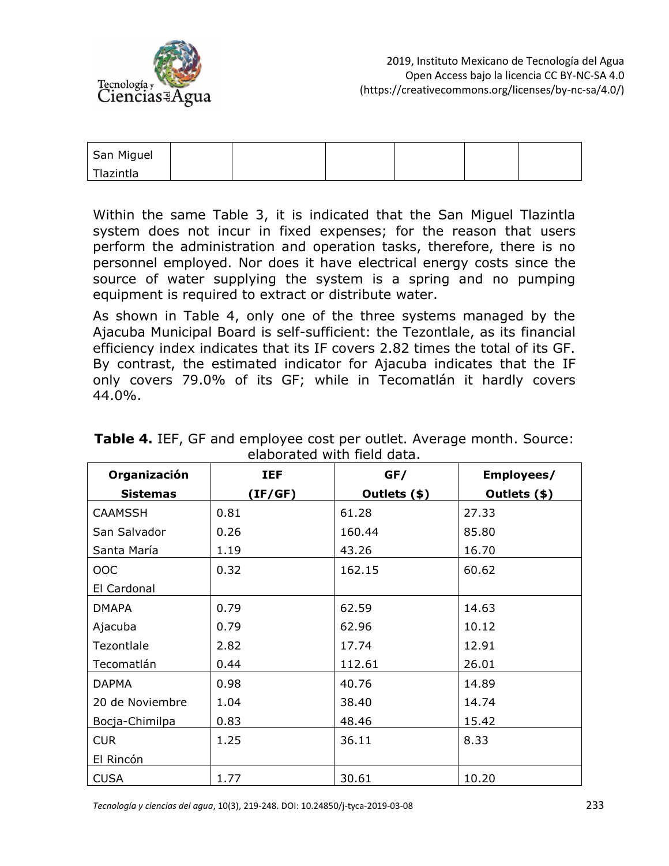

| San Miguel |  |  |  |
|------------|--|--|--|
| Tlazintla  |  |  |  |

Within the same Table 3, it is indicated that the San Miguel Tlazintla system does not incur in fixed expenses; for the reason that users perform the administration and operation tasks, therefore, there is no personnel employed. Nor does it have electrical energy costs since the source of water supplying the system is a spring and no pumping equipment is required to extract or distribute water.

As shown in Table 4, only one of the three systems managed by the Ajacuba Municipal Board is self-sufficient: the Tezontlale, as its financial efficiency index indicates that its IF covers 2.82 times the total of its GF. By contrast, the estimated indicator for Ajacuba indicates that the IF only covers 79.0% of its GF; while in Tecomatlán it hardly covers 44.0%.

| Organización    | <b>IEF</b> | GF/          | Employees/   |
|-----------------|------------|--------------|--------------|
| <b>Sistemas</b> | (IF/GF)    | Outlets (\$) | Outlets (\$) |
| <b>CAAMSSH</b>  | 0.81       | 61.28        | 27.33        |
| San Salvador    | 0.26       | 160.44       | 85.80        |
| Santa María     | 1.19       | 43.26        | 16.70        |
| <b>OOC</b>      | 0.32       | 162.15       | 60.62        |
| El Cardonal     |            |              |              |
| <b>DMAPA</b>    | 0.79       | 62.59        | 14.63        |
| Ajacuba         | 0.79       | 62.96        | 10.12        |
| Tezontlale      | 2.82       | 17.74        | 12.91        |
| Tecomatlán      | 0.44       | 112.61       | 26.01        |
| <b>DAPMA</b>    | 0.98       | 40.76        | 14.89        |
| 20 de Noviembre | 1.04       | 38.40        | 14.74        |
| Bocja-Chimilpa  | 0.83       | 48.46        | 15.42        |
| <b>CUR</b>      | 1.25       | 36.11        | 8.33         |
| El Rincón       |            |              |              |
| <b>CUSA</b>     | 1.77       | 30.61        | 10.20        |

**Table 4.** IEF, GF and employee cost per outlet. Average month. Source: elaborated with field data.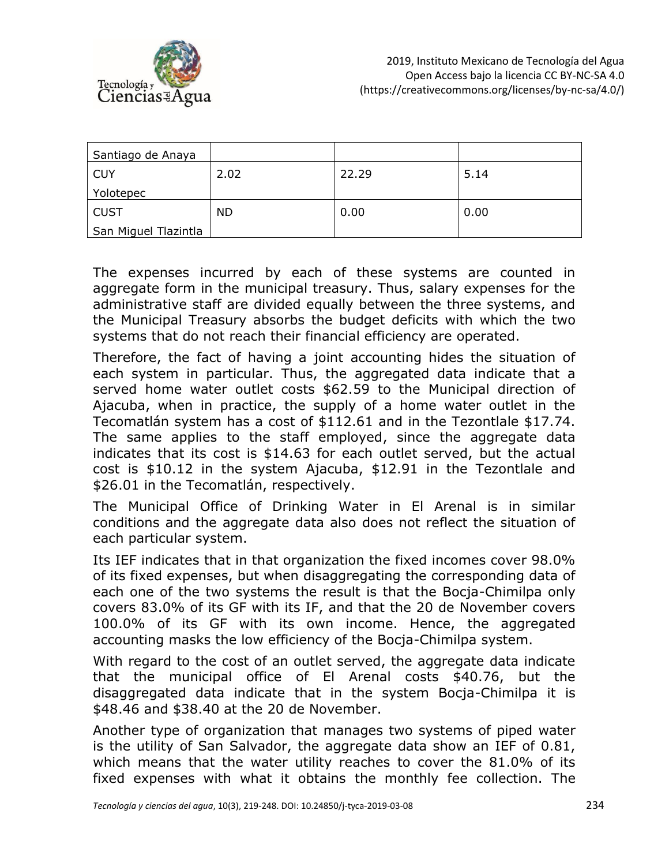

| Santiago de Anaya    |           |       |      |
|----------------------|-----------|-------|------|
| <b>CUY</b>           | 2.02      | 22.29 | 5.14 |
| Yolotepec            |           |       |      |
| <b>CUST</b>          | <b>ND</b> | 0.00  | 0.00 |
| San Miguel Tlazintla |           |       |      |

The expenses incurred by each of these systems are counted in aggregate form in the municipal treasury. Thus, salary expenses for the administrative staff are divided equally between the three systems, and the Municipal Treasury absorbs the budget deficits with which the two systems that do not reach their financial efficiency are operated.

Therefore, the fact of having a joint accounting hides the situation of each system in particular. Thus, the aggregated data indicate that a served home water outlet costs \$62.59 to the Municipal direction of Ajacuba, when in practice, the supply of a home water outlet in the Tecomatlán system has a cost of \$112.61 and in the Tezontlale \$17.74. The same applies to the staff employed, since the aggregate data indicates that its cost is \$14.63 for each outlet served, but the actual cost is \$10.12 in the system Ajacuba, \$12.91 in the Tezontlale and \$26.01 in the Tecomatlán, respectively.

The Municipal Office of Drinking Water in El Arenal is in similar conditions and the aggregate data also does not reflect the situation of each particular system.

Its IEF indicates that in that organization the fixed incomes cover 98.0% of its fixed expenses, but when disaggregating the corresponding data of each one of the two systems the result is that the Bocja-Chimilpa only covers 83.0% of its GF with its IF, and that the 20 de November covers 100.0% of its GF with its own income. Hence, the aggregated accounting masks the low efficiency of the Bocja-Chimilpa system.

With regard to the cost of an outlet served, the aggregate data indicate that the municipal office of El Arenal costs \$40.76, but the disaggregated data indicate that in the system Bocja-Chimilpa it is \$48.46 and \$38.40 at the 20 de November.

Another type of organization that manages two systems of piped water is the utility of San Salvador, the aggregate data show an IEF of 0.81, which means that the water utility reaches to cover the 81.0% of its fixed expenses with what it obtains the monthly fee collection. The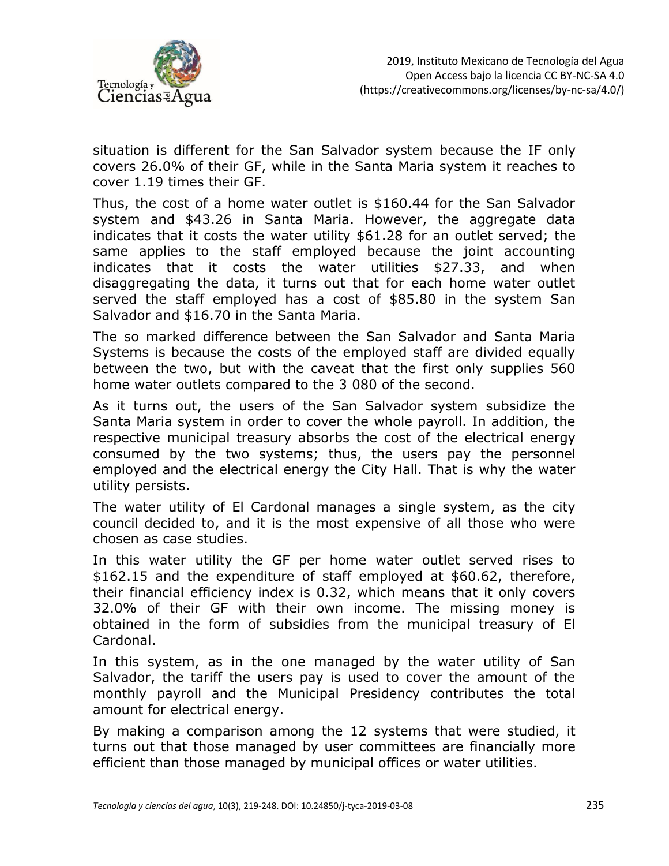

situation is different for the San Salvador system because the IF only covers 26.0% of their GF, while in the Santa Maria system it reaches to cover 1.19 times their GF.

Thus, the cost of a home water outlet is \$160.44 for the San Salvador system and \$43.26 in Santa Maria. However, the aggregate data indicates that it costs the water utility \$61.28 for an outlet served; the same applies to the staff employed because the joint accounting indicates that it costs the water utilities \$27.33, and when disaggregating the data, it turns out that for each home water outlet served the staff employed has a cost of \$85.80 in the system San Salvador and \$16.70 in the Santa Maria.

The so marked difference between the San Salvador and Santa Maria Systems is because the costs of the employed staff are divided equally between the two, but with the caveat that the first only supplies 560 home water outlets compared to the 3 080 of the second.

As it turns out, the users of the San Salvador system subsidize the Santa Maria system in order to cover the whole payroll. In addition, the respective municipal treasury absorbs the cost of the electrical energy consumed by the two systems; thus, the users pay the personnel employed and the electrical energy the City Hall. That is why the water utility persists.

The water utility of El Cardonal manages a single system, as the city council decided to, and it is the most expensive of all those who were chosen as case studies.

In this water utility the GF per home water outlet served rises to \$162.15 and the expenditure of staff employed at \$60.62, therefore, their financial efficiency index is 0.32, which means that it only covers 32.0% of their GF with their own income. The missing money is obtained in the form of subsidies from the municipal treasury of El Cardonal.

In this system, as in the one managed by the water utility of San Salvador, the tariff the users pay is used to cover the amount of the monthly payroll and the Municipal Presidency contributes the total amount for electrical energy.

By making a comparison among the 12 systems that were studied, it turns out that those managed by user committees are financially more efficient than those managed by municipal offices or water utilities.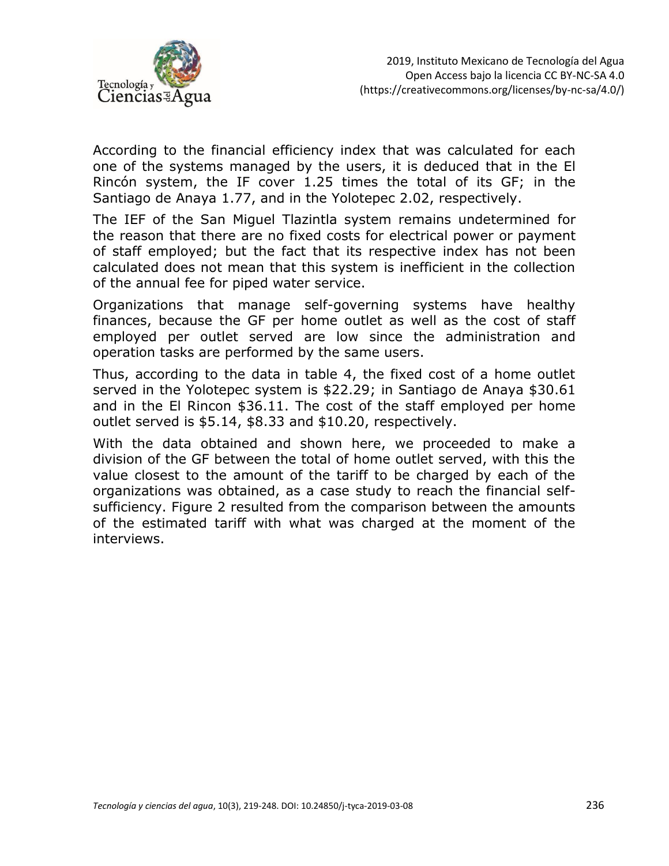

According to the financial efficiency index that was calculated for each one of the systems managed by the users, it is deduced that in the El Rincón system, the IF cover 1.25 times the total of its GF; in the Santiago de Anaya 1.77, and in the Yolotepec 2.02, respectively.

The IEF of the San Miguel Tlazintla system remains undetermined for the reason that there are no fixed costs for electrical power or payment of staff employed; but the fact that its respective index has not been calculated does not mean that this system is inefficient in the collection of the annual fee for piped water service.

Organizations that manage self-governing systems have healthy finances, because the GF per home outlet as well as the cost of staff employed per outlet served are low since the administration and operation tasks are performed by the same users.

Thus, according to the data in table 4, the fixed cost of a home outlet served in the Yolotepec system is \$22.29; in Santiago de Anaya \$30.61 and in the El Rincon \$36.11. The cost of the staff employed per home outlet served is \$5.14, \$8.33 and \$10.20, respectively.

With the data obtained and shown here, we proceeded to make a division of the GF between the total of home outlet served, with this the value closest to the amount of the tariff to be charged by each of the organizations was obtained, as a case study to reach the financial selfsufficiency. Figure 2 resulted from the comparison between the amounts of the estimated tariff with what was charged at the moment of the interviews.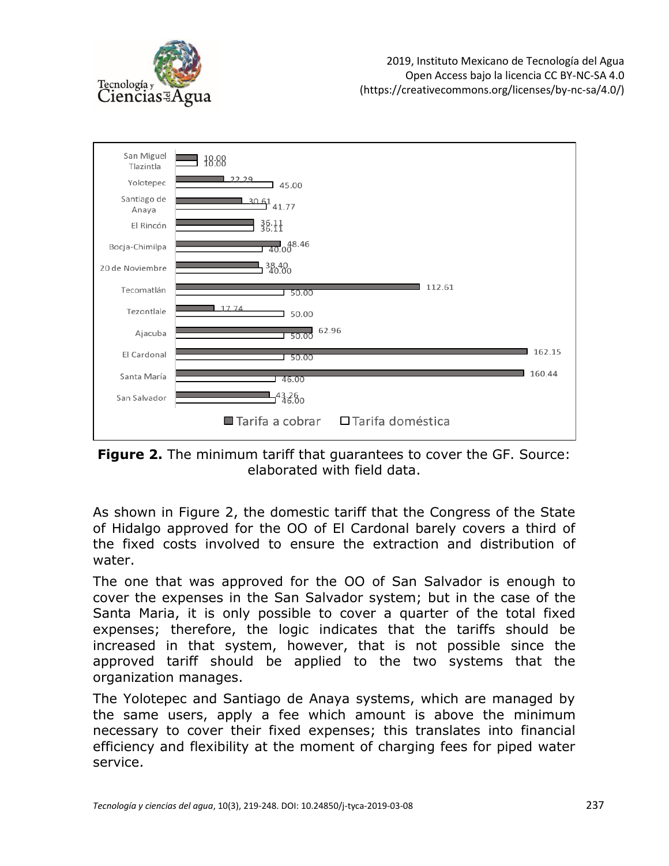



**Figure 2.** The minimum tariff that guarantees to cover the GF. Source: elaborated with field data.

As shown in Figure 2, the domestic tariff that the Congress of the State of Hidalgo approved for the OO of El Cardonal barely covers a third of the fixed costs involved to ensure the extraction and distribution of water.

The one that was approved for the OO of San Salvador is enough to cover the expenses in the San Salvador system; but in the case of the Santa Maria, it is only possible to cover a quarter of the total fixed expenses; therefore, the logic indicates that the tariffs should be increased in that system, however, that is not possible since the approved tariff should be applied to the two systems that the organization manages.

The Yolotepec and Santiago de Anaya systems, which are managed by the same users, apply a fee which amount is above the minimum necessary to cover their fixed expenses; this translates into financial efficiency and flexibility at the moment of charging fees for piped water service.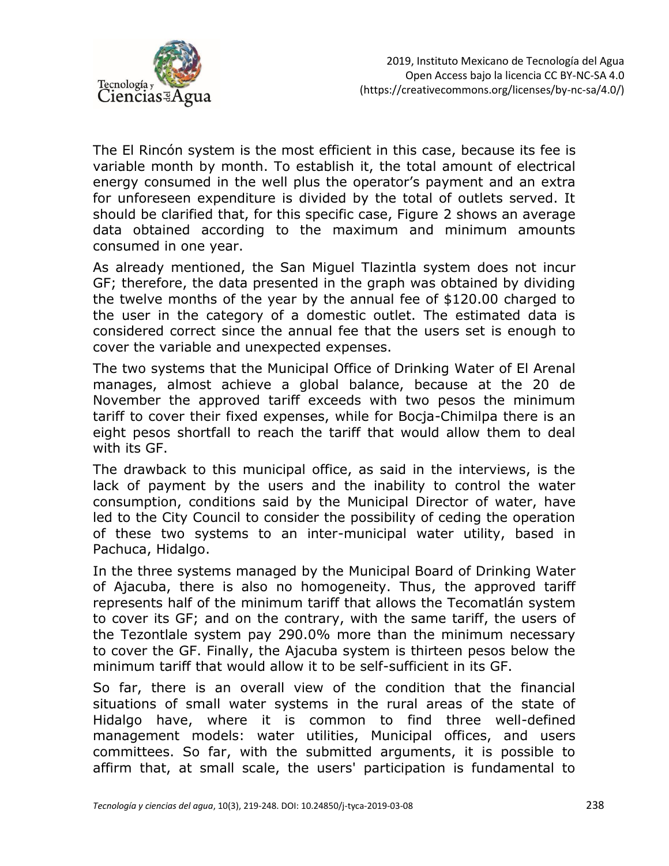

The El Rincón system is the most efficient in this case, because its fee is variable month by month. To establish it, the total amount of electrical energy consumed in the well plus the operator's payment and an extra for unforeseen expenditure is divided by the total of outlets served. It should be clarified that, for this specific case, Figure 2 shows an average data obtained according to the maximum and minimum amounts consumed in one year.

As already mentioned, the San Miguel Tlazintla system does not incur GF; therefore, the data presented in the graph was obtained by dividing the twelve months of the year by the annual fee of \$120.00 charged to the user in the category of a domestic outlet. The estimated data is considered correct since the annual fee that the users set is enough to cover the variable and unexpected expenses.

The two systems that the Municipal Office of Drinking Water of El Arenal manages, almost achieve a global balance, because at the 20 de November the approved tariff exceeds with two pesos the minimum tariff to cover their fixed expenses, while for Bocja-Chimilpa there is an eight pesos shortfall to reach the tariff that would allow them to deal with its GF.

The drawback to this municipal office, as said in the interviews, is the lack of payment by the users and the inability to control the water consumption, conditions said by the Municipal Director of water, have led to the City Council to consider the possibility of ceding the operation of these two systems to an inter-municipal water utility, based in Pachuca, Hidalgo.

In the three systems managed by the Municipal Board of Drinking Water of Ajacuba, there is also no homogeneity. Thus, the approved tariff represents half of the minimum tariff that allows the Tecomatlán system to cover its GF; and on the contrary, with the same tariff, the users of the Tezontlale system pay 290.0% more than the minimum necessary to cover the GF. Finally, the Ajacuba system is thirteen pesos below the minimum tariff that would allow it to be self-sufficient in its GF.

So far, there is an overall view of the condition that the financial situations of small water systems in the rural areas of the state of Hidalgo have, where it is common to find three well-defined management models: water utilities, Municipal offices, and users committees. So far, with the submitted arguments, it is possible to affirm that, at small scale, the users' participation is fundamental to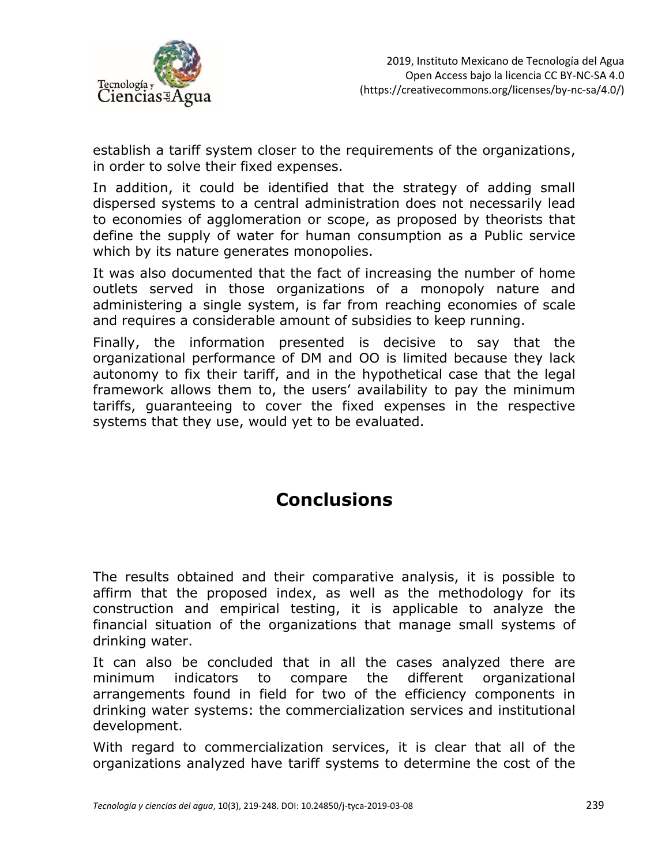

establish a tariff system closer to the requirements of the organizations, in order to solve their fixed expenses.

In addition, it could be identified that the strategy of adding small dispersed systems to a central administration does not necessarily lead to economies of agglomeration or scope, as proposed by theorists that define the supply of water for human consumption as a Public service which by its nature generates monopolies.

It was also documented that the fact of increasing the number of home outlets served in those organizations of a monopoly nature and administering a single system, is far from reaching economies of scale and requires a considerable amount of subsidies to keep running.

Finally, the information presented is decisive to say that the organizational performance of DM and OO is limited because they lack autonomy to fix their tariff, and in the hypothetical case that the legal framework allows them to, the users' availability to pay the minimum tariffs, guaranteeing to cover the fixed expenses in the respective systems that they use, would yet to be evaluated.

# **Conclusions**

The results obtained and their comparative analysis, it is possible to affirm that the proposed index, as well as the methodology for its construction and empirical testing, it is applicable to analyze the financial situation of the organizations that manage small systems of drinking water.

It can also be concluded that in all the cases analyzed there are minimum indicators to compare the different organizational arrangements found in field for two of the efficiency components in drinking water systems: the commercialization services and institutional development.

With regard to commercialization services, it is clear that all of the organizations analyzed have tariff systems to determine the cost of the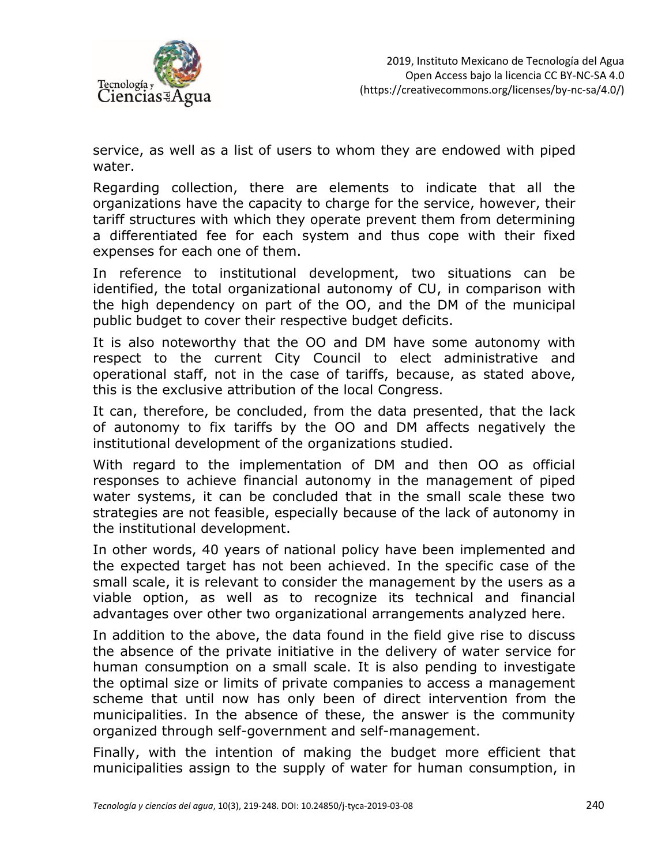

service, as well as a list of users to whom they are endowed with piped water.

Regarding collection, there are elements to indicate that all the organizations have the capacity to charge for the service, however, their tariff structures with which they operate prevent them from determining a differentiated fee for each system and thus cope with their fixed expenses for each one of them.

In reference to institutional development, two situations can be identified, the total organizational autonomy of CU, in comparison with the high dependency on part of the OO, and the DM of the municipal public budget to cover their respective budget deficits.

It is also noteworthy that the OO and DM have some autonomy with respect to the current City Council to elect administrative and operational staff, not in the case of tariffs, because, as stated above, this is the exclusive attribution of the local Congress.

It can, therefore, be concluded, from the data presented, that the lack of autonomy to fix tariffs by the OO and DM affects negatively the institutional development of the organizations studied.

With regard to the implementation of DM and then OO as official responses to achieve financial autonomy in the management of piped water systems, it can be concluded that in the small scale these two strategies are not feasible, especially because of the lack of autonomy in the institutional development.

In other words, 40 years of national policy have been implemented and the expected target has not been achieved. In the specific case of the small scale, it is relevant to consider the management by the users as a viable option, as well as to recognize its technical and financial advantages over other two organizational arrangements analyzed here.

In addition to the above, the data found in the field give rise to discuss the absence of the private initiative in the delivery of water service for human consumption on a small scale. It is also pending to investigate the optimal size or limits of private companies to access a management scheme that until now has only been of direct intervention from the municipalities. In the absence of these, the answer is the community organized through self-government and self-management.

Finally, with the intention of making the budget more efficient that municipalities assign to the supply of water for human consumption, in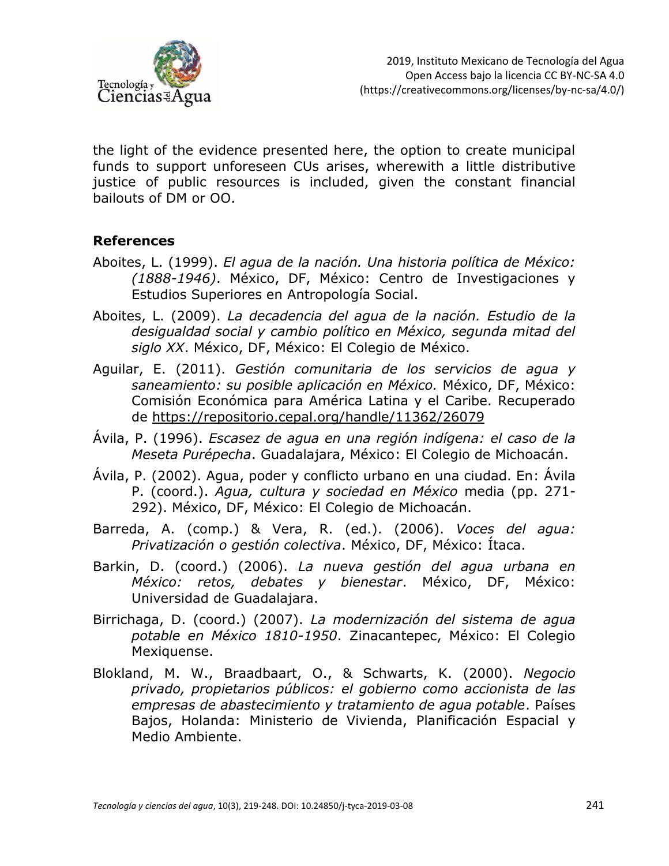

the light of the evidence presented here, the option to create municipal funds to support unforeseen CUs arises, wherewith a little distributive justice of public resources is included, given the constant financial bailouts of DM or OO.

#### **References**

- Aboites, L. (1999). *El agua de la nación. Una historia política de México: (1888-1946)*. México, DF, México: Centro de Investigaciones y Estudios Superiores en Antropología Social.
- Aboites, L. (2009). *La decadencia del agua de la nación. Estudio de la desigualdad social y cambio político en México, segunda mitad del siglo XX*. México, DF, México: El Colegio de México.
- Aguilar, E. (2011). *Gestión comunitaria de los servicios de agua y saneamiento: su posible aplicación en México.* México, DF, México: Comisión Económica para América Latina y el Caribe. Recuperado de<https://repositorio.cepal.org/handle/11362/26079>
- Ávila, P. (1996). *Escasez de agua en una región indígena: el caso de la Meseta Purépecha*. Guadalajara, México: El Colegio de Michoacán.
- Ávila, P. (2002). Agua, poder y conflicto urbano en una ciudad. En: Ávila P. (coord.). *Agua, cultura y sociedad en México* media (pp. 271- 292). México, DF, México: El Colegio de Michoacán.
- Barreda, A. (comp.) & Vera, R. (ed.). (2006). *Voces del agua: Privatización o gestión colectiva*. México, DF, México: Ítaca.
- Barkin, D. (coord.) (2006). *La nueva gestión del agua urbana en México: retos, debates y bienestar*. México, DF, México: Universidad de Guadalajara.
- Birrichaga, D. (coord.) (2007). *La modernización del sistema de agua potable en México 1810-1950*. Zinacantepec, México: El Colegio Mexiquense.
- Blokland, M. W., Braadbaart, O., & Schwarts, K. (2000). *Negocio privado, propietarios públicos: el gobierno como accionista de las empresas de abastecimiento y tratamiento de agua potable*. Países Bajos, Holanda: Ministerio de Vivienda, Planificación Espacial y Medio Ambiente.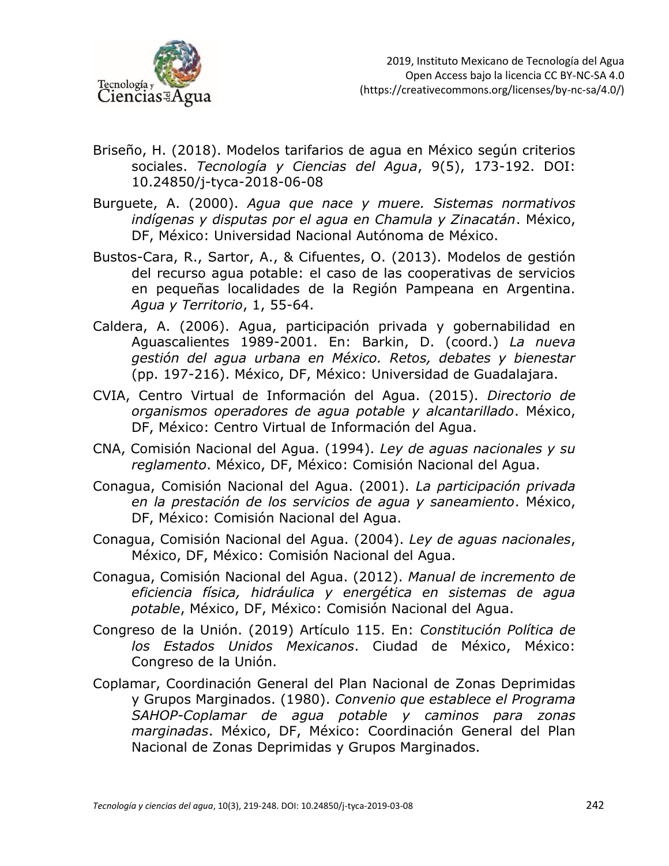

- Briseño, H. (2018). Modelos tarifarios de agua en México según criterios sociales. *Tecnología y Ciencias del Agua*, 9(5), 173-192. DOI: 10.24850/j-tyca-2018-06-08
- Burguete, A. (2000). *Agua que nace y muere. Sistemas normativos indígenas y disputas por el agua en Chamula y Zinacatán*. México, DF, México: Universidad Nacional Autónoma de México.
- Bustos-Cara, R., Sartor, A., & Cifuentes, O. (2013). Modelos de gestión del recurso agua potable: el caso de las cooperativas de servicios en pequeñas localidades de la Región Pampeana en Argentina. *Agua y Territorio*, 1, 55-64.
- Caldera, A. (2006). Agua, participación privada y gobernabilidad en Aguascalientes 1989-2001. En: Barkin, D. (coord.) *La nueva gestión del agua urbana en México. Retos, debates y bienestar* (pp. 197-216). México, DF, México: Universidad de Guadalajara.
- CVIA, Centro Virtual de Información del Agua. (2015). *Directorio de organismos operadores de agua potable y alcantarillado*. México, DF, México: Centro Virtual de Información del Agua.
- CNA, Comisión Nacional del Agua. (1994). *Ley de aguas nacionales y su reglamento*. México, DF, México: Comisión Nacional del Agua.
- Conagua, Comisión Nacional del Agua. (2001). *La participación privada en la prestación de los servicios de agua y saneamiento*. México, DF, México: Comisión Nacional del Agua.
- Conagua, Comisión Nacional del Agua. (2004). *Ley de aguas nacionales*, México, DF, México: Comisión Nacional del Agua.
- Conagua, Comisión Nacional del Agua. (2012). *Manual de incremento de eficiencia física, hidráulica y energética en sistemas de agua potable*, México, DF, México: Comisión Nacional del Agua.
- Congreso de la Unión. (2019) Artículo 115. En: *Constitución Política de los Estados Unidos Mexicanos*. Ciudad de México, México: Congreso de la Unión.
- Coplamar, Coordinación General del Plan Nacional de Zonas Deprimidas y Grupos Marginados. (1980). *Convenio que establece el Programa SAHOP-Coplamar de agua potable y caminos para zonas marginadas*. México, DF, México: Coordinación General del Plan Nacional de Zonas Deprimidas y Grupos Marginados.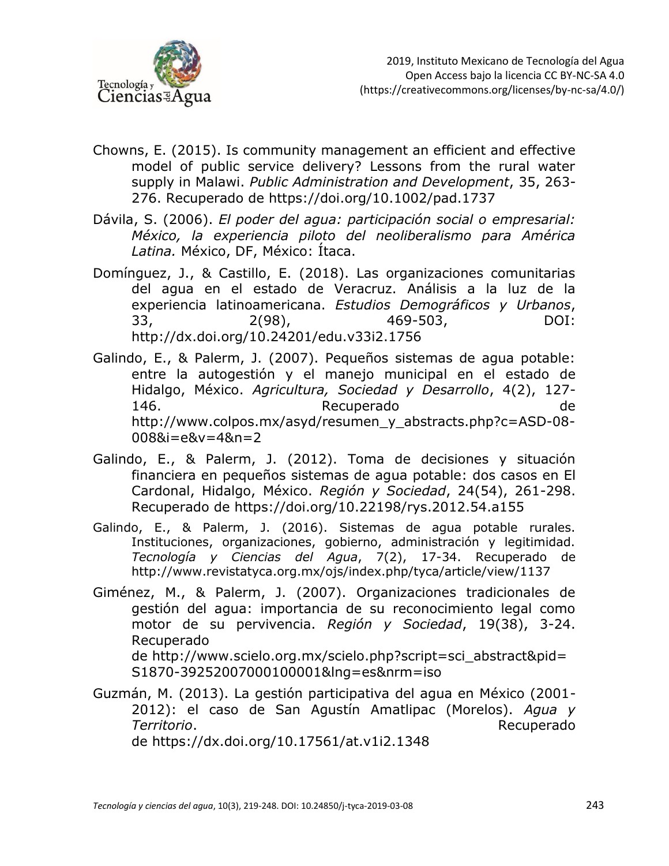

- Chowns, E. (2015). Is community management an efficient and effective model of public service delivery? Lessons from the rural water supply in Malawi. *Public Administration and Development*, 35, 263- 276. Recuperado de <https://doi.org/10.1002/pad.1737>
- Dávila, S. (2006). *El poder del agua: participación social o empresarial: México, la experiencia piloto del neoliberalismo para América Latina.* México, DF, México: Ítaca.
- Domínguez, J., & Castillo, E. (2018). Las organizaciones comunitarias del agua en el estado de Veracruz. Análisis a la luz de la experiencia latinoamericana. *Estudios Demográficos y Urbanos*, 33, 2(98), 469-503, DOI: http://dx.doi.org/10.24201/edu.v33i2.1756
- Galindo, E., & Palerm, J. (2007). Pequeños sistemas de agua potable: entre la autogestión y el manejo municipal en el estado de Hidalgo, México. *Agricultura, Sociedad y Desarrollo*, 4(2), 127- 146. Recuperado de http://www.colpos.mx/asyd/resumen\_y\_abstracts.php?c=ASD-08- 008&i=e&v=4&n=2
- Galindo, E., & Palerm, J. (2012). Toma de decisiones y situación financiera en pequeños sistemas de agua potable: dos casos en El Cardonal, Hidalgo, México. *Región y Sociedad*, 24(54), 261-298. Recuperado de<https://doi.org/10.22198/rys.2012.54.a155>
- Galindo, E., & Palerm, J. (2016). Sistemas de agua potable rurales. Instituciones, organizaciones, gobierno, administración y legitimidad. *Tecnología y Ciencias del Agua*, 7(2), 17-34. Recuperado de http://www.revistatyca.org.mx/ojs/index.php/tyca/article/view/1137
- Giménez, M., & Palerm, J. (2007). Organizaciones tradicionales de gestión del agua: importancia de su reconocimiento legal como motor de su pervivencia. *Región y Sociedad*, 19(38), 3-24. Recuperado de http://www.scielo.org.mx/scielo.php?script=sci\_abstract&pid= S1870-39252007000100001&lng=es&nrm=iso
- Guzmán, M. (2013). La gestión participativa del agua en México (2001- 2012): el caso de San Agustín Amatlipac (Morelos). *Agua y Territorio*. **Recuperado** e a constructivo de la provincia de la Recuperado de la Recuperado de <https://dx.doi.org/10.17561/at.v1i2.1348>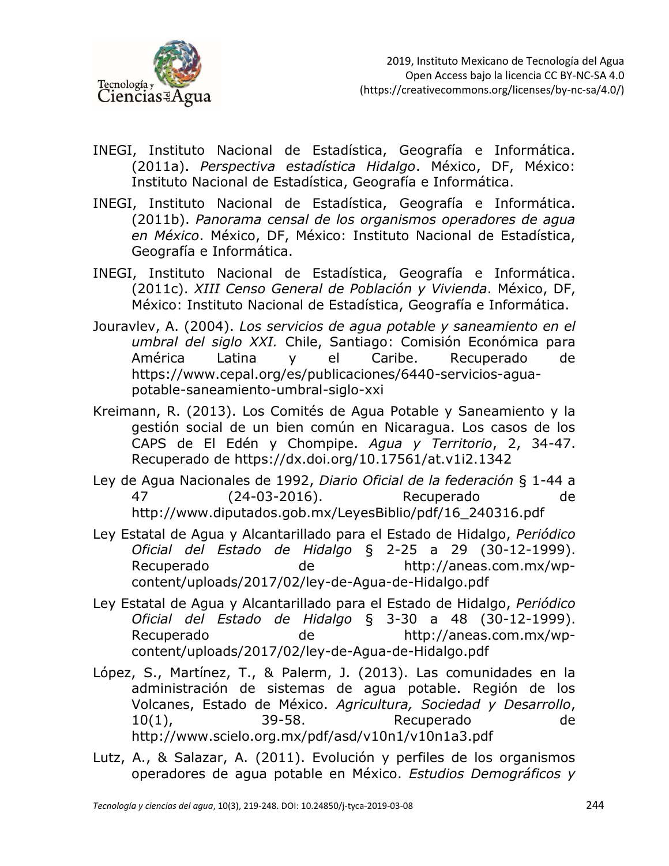

- INEGI, Instituto Nacional de Estadística, Geografía e Informática. (2011a). *Perspectiva estadística Hidalgo*. México, DF, México: Instituto Nacional de Estadística, Geografía e Informática.
- INEGI, Instituto Nacional de Estadística, Geografía e Informática. (2011b). *Panorama censal de los organismos operadores de agua en México*. México, DF, México: Instituto Nacional de Estadística, Geografía e Informática.
- INEGI, Instituto Nacional de Estadística, Geografía e Informática. (2011c). *XIII Censo General de Población y Vivienda*. México, DF, México: Instituto Nacional de Estadística, Geografía e Informática.
- Jouravlev, A. (2004). *Los servicios de agua potable y saneamiento en el umbral del siglo XXI.* Chile, Santiago: Comisión Económica para América Latina y el Caribe. Recuperado de https://www.cepal.org/es/publicaciones/6440-servicios-aguapotable-saneamiento-umbral-siglo-xxi
- Kreimann, R. (2013). Los Comités de Agua Potable y Saneamiento y la gestión social de un bien común en Nicaragua. Los casos de los CAPS de El Edén y Chompipe. *Agua y Territorio*, 2, 34-47. Recuperado de <https://dx.doi.org/10.17561/at.v1i2.1342>
- Ley de Agua Nacionales de 1992, *Diario Oficial de la federación* § 1-44 a 47 (24-03-2016). Recuperado de [http://www.diputados.gob.mx/LeyesBiblio/pdf/16\\_240316.pdf](http://www.diputados.gob.mx/LeyesBiblio/pdf/16_240316.pdf)
- Ley Estatal de Agua y Alcantarillado para el Estado de Hidalgo, *Periódico Oficial del Estado de Hidalgo* § 2-25 a 29 (30-12-1999). Recuperado de [http://aneas.com.mx/wp](http://aneas.com.mx/wp-content/uploads/2017/02/ley-de-Agua-de-Hidalgo.pdf)[content/uploads/2017/02/ley-de-Agua-de-Hidalgo.pdf](http://aneas.com.mx/wp-content/uploads/2017/02/ley-de-Agua-de-Hidalgo.pdf)
- Ley Estatal de Agua y Alcantarillado para el Estado de Hidalgo, *Periódico Oficial del Estado de Hidalgo* § 3-30 a 48 (30-12-1999). Recuperado de [http://aneas.com.mx/wp](http://aneas.com.mx/wp-content/uploads/2017/02/ley-de-Agua-de-Hidalgo.pdf)[content/uploads/2017/02/ley-de-Agua-de-Hidalgo.pdf](http://aneas.com.mx/wp-content/uploads/2017/02/ley-de-Agua-de-Hidalgo.pdf)
- López, S., Martínez, T., & Palerm, J. (2013). Las comunidades en la administración de sistemas de agua potable. Región de los Volcanes, Estado de México. *Agricultura, Sociedad y Desarrollo*, 10(1), 39-58. Recuperado de http://www.scielo.org.mx/pdf/asd/v10n1/v10n1a3.pdf
- Lutz, A., & Salazar, A. (2011). Evolución y perfiles de los organismos operadores de agua potable en México. *Estudios Demográficos y*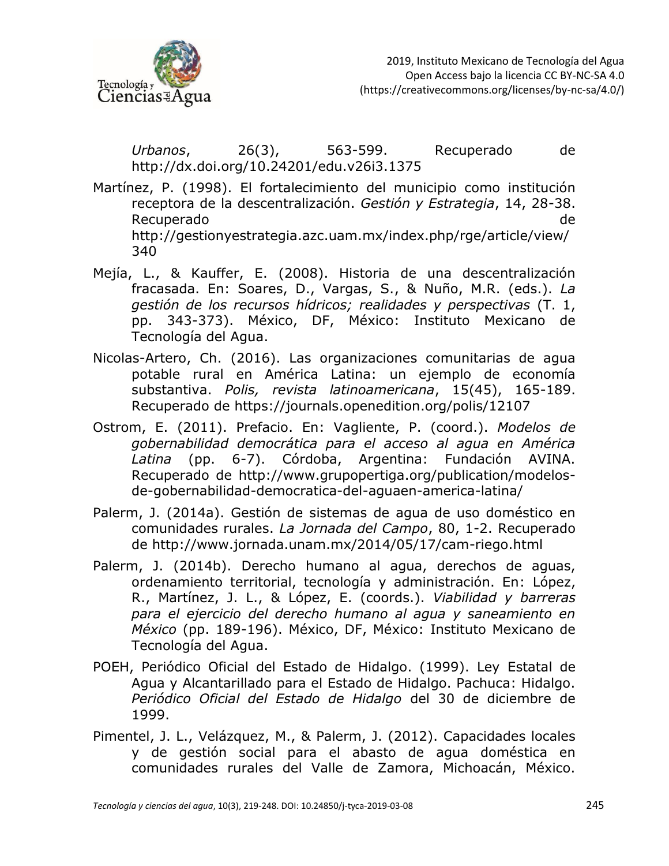

*Urbanos*, 26(3), 563-599. Recuperado de <http://dx.doi.org/10.24201/edu.v26i3.1375>

Martínez, P. (1998). El fortalecimiento del municipio como institución receptora de la descentralización. *Gestión y Estrategia*, 14, 28-38. Recuperado de http://gestionyestrategia.azc.uam.mx/index.php/rge/article/view/ 340

- Mejía, L., & Kauffer, E. (2008). Historia de una descentralización fracasada. En: Soares, D., Vargas, S., & Nuño, M.R. (eds.). *La gestión de los recursos hídricos; realidades y perspectivas* (T. 1, pp. 343-373). México, DF, México: Instituto Mexicano de Tecnología del Agua.
- Nicolas-Artero, Ch. (2016). Las organizaciones comunitarias de agua potable rural en América Latina: un ejemplo de economía substantiva. *Polis, revista latinoamericana*, 15(45), 165-189. Recuperado de https://journals.openedition.org/polis/12107
- Ostrom, E. (2011). Prefacio. En: Vagliente, P. (coord.). *Modelos de gobernabilidad democrática para el acceso al agua en América Latina* (pp. 6-7). Córdoba, Argentina: Fundación AVINA. Recuperado de http://www.grupopertiga.org/publication/modelosde-gobernabilidad-democratica-del-aguaen-america-latina/
- Palerm, J. (2014a). Gestión de sistemas de agua de uso doméstico en comunidades rurales. *La Jornada del Campo*, 80, 1-2. Recuperado de http://www.jornada.unam.mx/2014/05/17/cam-riego.html
- Palerm, J. (2014b). Derecho humano al agua, derechos de aguas, ordenamiento territorial, tecnología y administración. En: López, R., Martínez, J. L., & López, E. (coords.). *Viabilidad y barreras para el ejercicio del derecho humano al agua y saneamiento en México* (pp. 189-196). México, DF, México: Instituto Mexicano de Tecnología del Agua.
- POEH, Periódico Oficial del Estado de Hidalgo. (1999). Ley Estatal de Agua y Alcantarillado para el Estado de Hidalgo. Pachuca: Hidalgo. *Periódico Oficial del Estado de Hidalgo* del 30 de diciembre de 1999.
- Pimentel, J. L., Velázquez, M., & Palerm, J. (2012). Capacidades locales y de gestión social para el abasto de agua doméstica en comunidades rurales del Valle de Zamora, Michoacán, México.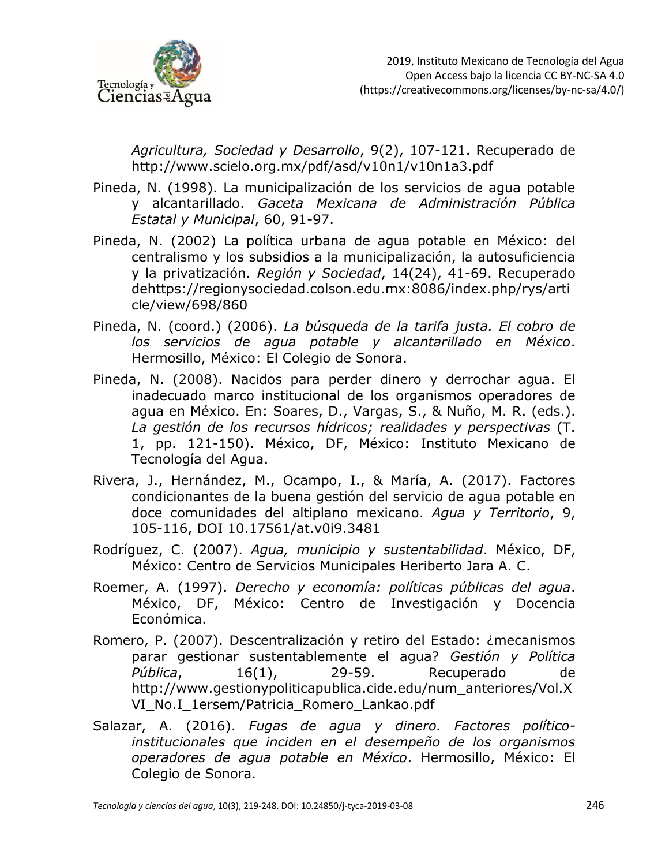

*Agricultura, Sociedad y Desarrollo*, 9(2), 107-121. Recuperado de http://www.scielo.org.mx/pdf/asd/v10n1/v10n1a3.pdf

- Pineda, N. (1998). La municipalización de los servicios de agua potable y alcantarillado. *Gaceta Mexicana de Administración Pública Estatal y Municipal*, 60, 91-97.
- Pineda, N. (2002) La política urbana de agua potable en México: del centralismo y los subsidios a la municipalización, la autosuficiencia y la privatización. *Región y Sociedad*, 14(24), 41-69. Recuperado dehttps://regionysociedad.colson.edu.mx:8086/index.php/rys/arti cle/view/698/860
- Pineda, N. (coord.) (2006). *La búsqueda de la tarifa justa. El cobro de los servicios de agua potable y alcantarillado en México*. Hermosillo, México: El Colegio de Sonora.
- Pineda, N. (2008). Nacidos para perder dinero y derrochar agua. El inadecuado marco institucional de los organismos operadores de agua en México. En: Soares, D., Vargas, S., & Nuño, M. R. (eds.). *La gestión de los recursos hídricos; realidades y perspectivas* (T. 1, pp. 121-150). México, DF, México: Instituto Mexicano de Tecnología del Agua.
- Rivera, J., Hernández, M., Ocampo, I., & María, A. (2017). Factores condicionantes de la buena gestión del servicio de agua potable en doce comunidades del altiplano mexicano. *Agua y Territorio*, 9, 105-116, DOI 10.17561/at.v0i9.3481
- Rodríguez, C. (2007). *Agua, municipio y sustentabilidad*. México, DF, México: Centro de Servicios Municipales Heriberto Jara A. C.
- Roemer, A. (1997). *Derecho y economía: políticas públicas del agua*. México, DF, México: Centro de Investigación y Docencia Económica.
- Romero, P. (2007). Descentralización y retiro del Estado: ¿mecanismos parar gestionar sustentablemente el agua? *Gestión y Política*  Pública, 16(1), 29-59. Recuperado de http://www.gestionypoliticapublica.cide.edu/num\_anteriores/Vol.X VI\_No.I\_1ersem/Patricia\_Romero\_Lankao.pdf
- Salazar, A. (2016). *Fugas de agua y dinero. Factores políticoinstitucionales que inciden en el desempeño de los organismos operadores de agua potable en México*. Hermosillo, México: El Colegio de Sonora.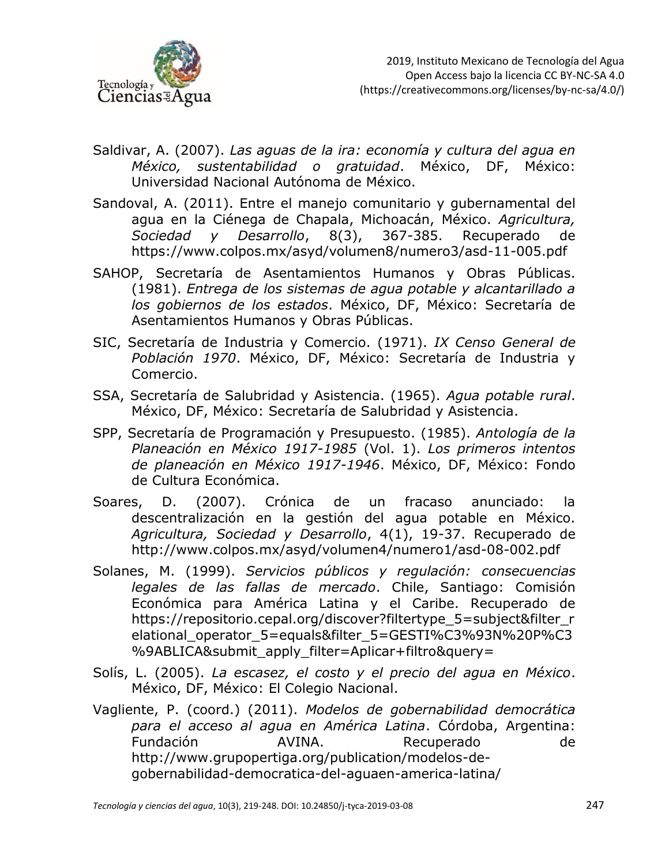

- Saldivar, A. (2007). *Las aguas de la ira: economía y cultura del agua en México, sustentabilidad o gratuidad*. México, DF, México: Universidad Nacional Autónoma de México.
- Sandoval, A. (2011). Entre el manejo comunitario y gubernamental del agua en la Ciénega de Chapala, Michoacán, México. *Agricultura, Sociedad y Desarrollo*, 8(3), 367-385. Recuperado de https://www.colpos.mx/asyd/volumen8/numero3/asd-11-005.pdf
- SAHOP, Secretaría de Asentamientos Humanos y Obras Públicas. (1981). *Entrega de los sistemas de agua potable y alcantarillado a los gobiernos de los estados*. México, DF, México: Secretaría de Asentamientos Humanos y Obras Públicas.
- SIC, Secretaría de Industria y Comercio. (1971). *IX Censo General de Población 1970*. México, DF, México: Secretaría de Industria y Comercio.
- SSA, Secretaría de Salubridad y Asistencia. (1965). *Agua potable rural*. México, DF, México: Secretaría de Salubridad y Asistencia.
- SPP, Secretaría de Programación y Presupuesto. (1985). *Antología de la Planeación en México 1917-1985* (Vol. 1). *Los primeros intentos de planeación en México 1917-1946*. México, DF, México: Fondo de Cultura Económica.
- Soares, D. (2007). Crónica de un fracaso anunciado: la descentralización en la gestión del agua potable en México. *Agricultura, Sociedad y Desarrollo*, 4(1), 19-37. Recuperado de http://www.colpos.mx/asyd/volumen4/numero1/asd-08-002.pdf
- Solanes, M. (1999). *Servicios públicos y regulación: consecuencias legales de las fallas de mercado*. Chile, Santiago: Comisión Económica para América Latina y el Caribe. Recuperado de https://repositorio.cepal.org/discover?filtertype\_5=subject&filter\_r elational\_operator\_5=equals&filter\_5=GESTI%C3%93N%20P%C3 %9ABLICA&submit\_apply\_filter=Aplicar+filtro&query=
- Solís, L. (2005). *La escasez, el costo y el precio del agua en México*. México, DF, México: El Colegio Nacional.
- Vagliente, P. (coord.) (2011). *Modelos de gobernabilidad democrática para el acceso al agua en América Latina*. Córdoba, Argentina: Fundación AVINA. Recuperado de http://www.grupopertiga.org/publication/modelos-degobernabilidad-democratica-del-aguaen-america-latina/